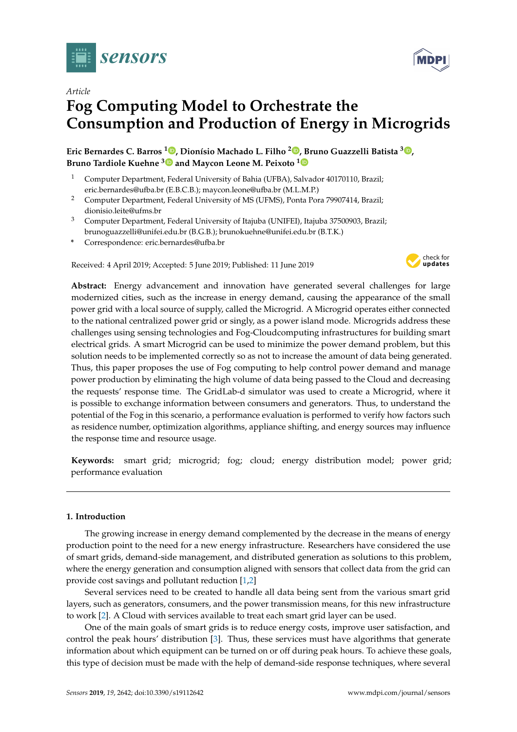

*Article*

# **Fog Computing Model to Orchestrate the Consumption and Production of Energy in Microgrids**

**Eric Bernardes C. Barros <sup>1</sup> [,](https://orcid.org/0000-0001-8246-149X) Dionísio Machado L. Filho <sup>2</sup> [,](https://orcid.org/0000-0003-1180-8710) Bruno Guazzelli Batista [3](https://orcid.org/0000-0002-2329-0747) , Bruno Tardiole Kuehne [3](https://orcid.org/0000-0003-2529-225X) and Maycon Leone M. Peixoto [1](https://orcid.org/0000-0002-4851-5228)**

- <sup>1</sup> Computer Department, Federal University of Bahia (UFBA), Salvador 40170110, Brazil; eric.bernardes@ufba.br (E.B.C.B.); maycon.leone@ufba.br (M.L.M.P.)
- <sup>2</sup> Computer Department, Federal University of MS (UFMS), Ponta Pora 79907414, Brazil; dionisio.leite@ufms.br
- <sup>3</sup> Computer Department, Federal University of Itajuba (UNIFEI), Itajuba 37500903, Brazil; brunoguazzelli@unifei.edu.br (B.G.B.); brunokuehne@unifei.edu.br (B.T.K.)
- **\*** Correspondence: eric.bernardes@ufba.br

Received: 4 April 2019; Accepted: 5 June 2019; Published: 11 June 2019



**Abstract:** Energy advancement and innovation have generated several challenges for large modernized cities, such as the increase in energy demand, causing the appearance of the small power grid with a local source of supply, called the Microgrid. A Microgrid operates either connected to the national centralized power grid or singly, as a power island mode. Microgrids address these challenges using sensing technologies and Fog-Cloudcomputing infrastructures for building smart electrical grids. A smart Microgrid can be used to minimize the power demand problem, but this solution needs to be implemented correctly so as not to increase the amount of data being generated. Thus, this paper proposes the use of Fog computing to help control power demand and manage power production by eliminating the high volume of data being passed to the Cloud and decreasing the requests' response time. The GridLab-d simulator was used to create a Microgrid, where it is possible to exchange information between consumers and generators. Thus, to understand the potential of the Fog in this scenario, a performance evaluation is performed to verify how factors such as residence number, optimization algorithms, appliance shifting, and energy sources may influence the response time and resource usage.

**Keywords:** smart grid; microgrid; fog; cloud; energy distribution model; power grid; performance evaluation

### **1. Introduction**

The growing increase in energy demand complemented by the decrease in the means of energy production point to the need for a new energy infrastructure. Researchers have considered the use of smart grids, demand-side management, and distributed generation as solutions to this problem, where the energy generation and consumption aligned with sensors that collect data from the grid can provide cost savings and pollutant reduction [\[1](#page-14-0)[,2\]](#page-14-1)

Several services need to be created to handle all data being sent from the various smart grid layers, such as generators, consumers, and the power transmission means, for this new infrastructure to work [\[2\]](#page-14-1). A Cloud with services available to treat each smart grid layer can be used.

One of the main goals of smart grids is to reduce energy costs, improve user satisfaction, and control the peak hours' distribution [\[3\]](#page-14-2). Thus, these services must have algorithms that generate information about which equipment can be turned on or off during peak hours. To achieve these goals, this type of decision must be made with the help of demand-side response techniques, where several

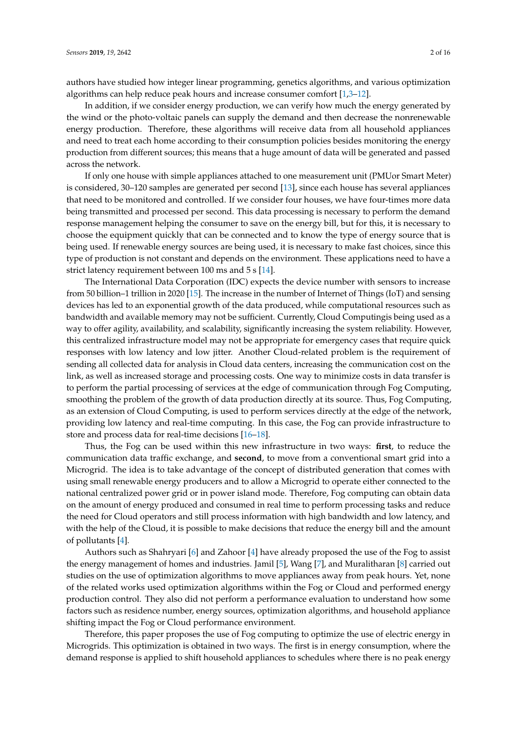authors have studied how integer linear programming, genetics algorithms, and various optimization algorithms can help reduce peak hours and increase consumer comfort [\[1,](#page-14-0)[3–](#page-14-2)[12\]](#page-14-3).

In addition, if we consider energy production, we can verify how much the energy generated by the wind or the photo-voltaic panels can supply the demand and then decrease the nonrenewable energy production. Therefore, these algorithms will receive data from all household appliances and need to treat each home according to their consumption policies besides monitoring the energy production from different sources; this means that a huge amount of data will be generated and passed across the network.

If only one house with simple appliances attached to one measurement unit (PMUor Smart Meter) is considered, 30–120 samples are generated per second [\[13\]](#page-15-0), since each house has several appliances that need to be monitored and controlled. If we consider four houses, we have four-times more data being transmitted and processed per second. This data processing is necessary to perform the demand response management helping the consumer to save on the energy bill, but for this, it is necessary to choose the equipment quickly that can be connected and to know the type of energy source that is being used. If renewable energy sources are being used, it is necessary to make fast choices, since this type of production is not constant and depends on the environment. These applications need to have a strict latency requirement between 100 ms and 5 s [\[14\]](#page-15-1).

The International Data Corporation (IDC) expects the device number with sensors to increase from 50 billion–1 trillion in 2020 [\[15\]](#page-15-2). The increase in the number of Internet of Things (IoT) and sensing devices has led to an exponential growth of the data produced, while computational resources such as bandwidth and available memory may not be sufficient. Currently, Cloud Computingis being used as a way to offer agility, availability, and scalability, significantly increasing the system reliability. However, this centralized infrastructure model may not be appropriate for emergency cases that require quick responses with low latency and low jitter. Another Cloud-related problem is the requirement of sending all collected data for analysis in Cloud data centers, increasing the communication cost on the link, as well as increased storage and processing costs. One way to minimize costs in data transfer is to perform the partial processing of services at the edge of communication through Fog Computing, smoothing the problem of the growth of data production directly at its source. Thus, Fog Computing, as an extension of Cloud Computing, is used to perform services directly at the edge of the network, providing low latency and real-time computing. In this case, the Fog can provide infrastructure to store and process data for real-time decisions [\[16–](#page-15-3)[18\]](#page-15-4).

Thus, the Fog can be used within this new infrastructure in two ways: **first**, to reduce the communication data traffic exchange, and **second**, to move from a conventional smart grid into a Microgrid. The idea is to take advantage of the concept of distributed generation that comes with using small renewable energy producers and to allow a Microgrid to operate either connected to the national centralized power grid or in power island mode. Therefore, Fog computing can obtain data on the amount of energy produced and consumed in real time to perform processing tasks and reduce the need for Cloud operators and still process information with high bandwidth and low latency, and with the help of the Cloud, it is possible to make decisions that reduce the energy bill and the amount of pollutants [\[4\]](#page-14-4).

Authors such as Shahryari [\[6\]](#page-14-5) and Zahoor [\[4\]](#page-14-4) have already proposed the use of the Fog to assist the energy management of homes and industries. Jamil [\[5\]](#page-14-6), Wang [\[7\]](#page-14-7), and Muralitharan [\[8\]](#page-14-8) carried out studies on the use of optimization algorithms to move appliances away from peak hours. Yet, none of the related works used optimization algorithms within the Fog or Cloud and performed energy production control. They also did not perform a performance evaluation to understand how some factors such as residence number, energy sources, optimization algorithms, and household appliance shifting impact the Fog or Cloud performance environment.

Therefore, this paper proposes the use of Fog computing to optimize the use of electric energy in Microgrids. This optimization is obtained in two ways. The first is in energy consumption, where the demand response is applied to shift household appliances to schedules where there is no peak energy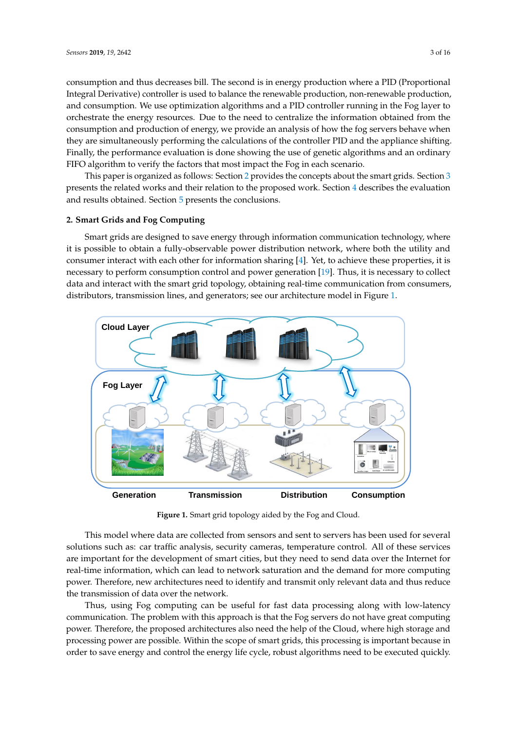consumption and thus decreases bill. The second is in energy production where a PID (Proportional Integral Derivative) controller is used to balance the renewable production, non-renewable production, and consumption. We use optimization algorithms and a PID controller running in the Fog layer to orchestrate the energy resources. Due to the need to centralize the information obtained from the consumption and production of energy, we provide an analysis of how the fog servers behave when they are simultaneously performing the calculations of the controller PID and the appliance shifting. Finally, the performance evaluation is done showing the use of genetic algorithms and an ordinary FIFO algorithm to verify the factors that most impact the Fog in each scenario.

This paper is organized as follows: Section [2](#page-2-0) provides the concepts about the smart grids. Section [3](#page-4-0) presents the related works and their relation to the proposed work. Section [4](#page-6-0) describes the evaluation and results obtained. Section [5](#page-13-0) presents the conclusions.

### <span id="page-2-0"></span>**2. Smart Grids and Fog Computing**

Smart grids are designed to save energy through information communication technology, where it is possible to obtain a fully-observable power distribution network, where both the utility and consumer interact with each other for information sharing [\[4\]](#page-14-4). Yet, to achieve these properties, it is necessary to perform consumption control and power generation [\[19\]](#page-15-5). Thus, it is necessary to collect data and interact with the smart grid topology, obtaining real-time communication from consumers, distributors, transmission lines, and generators; see our architecture model in Figure [1.](#page-2-1)

<span id="page-2-1"></span>

**Figure 1.** Smart grid topology aided by the Fog and Cloud.

This model where data are collected from sensors and sent to servers has been used for several solutions such as: car traffic analysis, security cameras, temperature control. All of these services are important for the development of smart cities, but they need to send data over the Internet for real-time information, which can lead to network saturation and the demand for more computing power. Therefore, new architectures need to identify and transmit only relevant data and thus reduce the transmission of data over the network.

Thus, using Fog computing can be useful for fast data processing along with low-latency communication. The problem with this approach is that the Fog servers do not have great computing power. Therefore, the proposed architectures also need the help of the Cloud, where high storage and processing power are possible. Within the scope of smart grids, this processing is important because in order to save energy and control the energy life cycle, robust algorithms need to be executed quickly.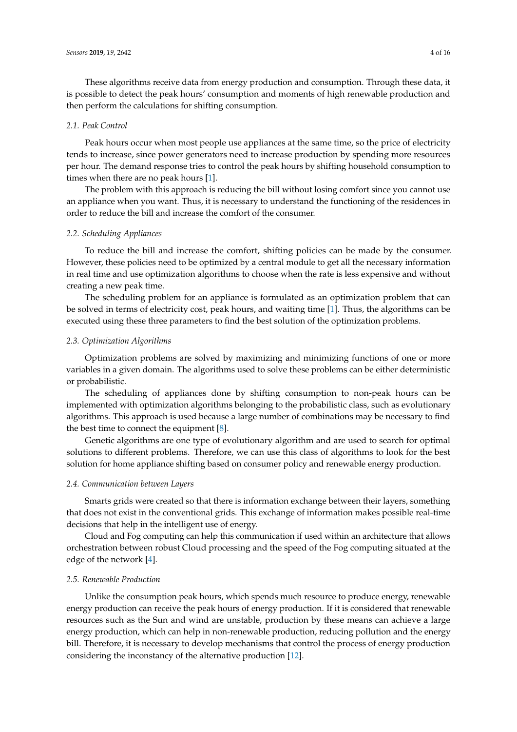These algorithms receive data from energy production and consumption. Through these data, it is possible to detect the peak hours' consumption and moments of high renewable production and then perform the calculations for shifting consumption.

#### *2.1. Peak Control*

Peak hours occur when most people use appliances at the same time, so the price of electricity tends to increase, since power generators need to increase production by spending more resources per hour. The demand response tries to control the peak hours by shifting household consumption to times when there are no peak hours [\[1\]](#page-14-0).

The problem with this approach is reducing the bill without losing comfort since you cannot use an appliance when you want. Thus, it is necessary to understand the functioning of the residences in order to reduce the bill and increase the comfort of the consumer.

#### *2.2. Scheduling Appliances*

To reduce the bill and increase the comfort, shifting policies can be made by the consumer. However, these policies need to be optimized by a central module to get all the necessary information in real time and use optimization algorithms to choose when the rate is less expensive and without creating a new peak time.

The scheduling problem for an appliance is formulated as an optimization problem that can be solved in terms of electricity cost, peak hours, and waiting time [\[1\]](#page-14-0). Thus, the algorithms can be executed using these three parameters to find the best solution of the optimization problems.

#### *2.3. Optimization Algorithms*

Optimization problems are solved by maximizing and minimizing functions of one or more variables in a given domain. The algorithms used to solve these problems can be either deterministic or probabilistic.

The scheduling of appliances done by shifting consumption to non-peak hours can be implemented with optimization algorithms belonging to the probabilistic class, such as evolutionary algorithms. This approach is used because a large number of combinations may be necessary to find the best time to connect the equipment [\[8\]](#page-14-8).

Genetic algorithms are one type of evolutionary algorithm and are used to search for optimal solutions to different problems. Therefore, we can use this class of algorithms to look for the best solution for home appliance shifting based on consumer policy and renewable energy production.

#### *2.4. Communication between Layers*

Smarts grids were created so that there is information exchange between their layers, something that does not exist in the conventional grids. This exchange of information makes possible real-time decisions that help in the intelligent use of energy.

Cloud and Fog computing can help this communication if used within an architecture that allows orchestration between robust Cloud processing and the speed of the Fog computing situated at the edge of the network [\[4\]](#page-14-4).

#### *2.5. Renewable Production*

Unlike the consumption peak hours, which spends much resource to produce energy, renewable energy production can receive the peak hours of energy production. If it is considered that renewable resources such as the Sun and wind are unstable, production by these means can achieve a large energy production, which can help in non-renewable production, reducing pollution and the energy bill. Therefore, it is necessary to develop mechanisms that control the process of energy production considering the inconstancy of the alternative production [\[12\]](#page-14-3).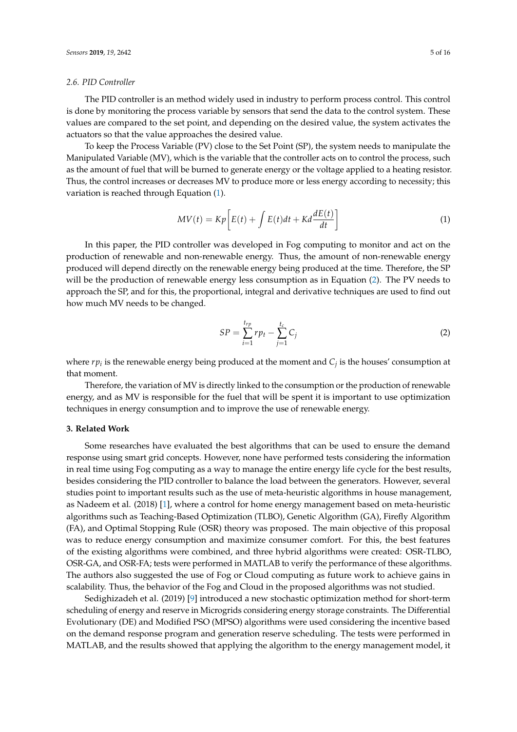#### *2.6. PID Controller*

The PID controller is an method widely used in industry to perform process control. This control is done by monitoring the process variable by sensors that send the data to the control system. These values are compared to the set point, and depending on the desired value, the system activates the actuators so that the value approaches the desired value.

To keep the Process Variable (PV) close to the Set Point (SP), the system needs to manipulate the Manipulated Variable (MV), which is the variable that the controller acts on to control the process, such as the amount of fuel that will be burned to generate energy or the voltage applied to a heating resistor. Thus, the control increases or decreases MV to produce more or less energy according to necessity; this variation is reached through Equation [\(1\)](#page-4-1).

<span id="page-4-1"></span>
$$
MV(t) = Kp \left[ E(t) + \int E(t)dt + Kd\frac{dE(t)}{dt} \right]
$$
\n(1)

In this paper, the PID controller was developed in Fog computing to monitor and act on the production of renewable and non-renewable energy. Thus, the amount of non-renewable energy produced will depend directly on the renewable energy being produced at the time. Therefore, the SP will be the production of renewable energy less consumption as in Equation [\(2\)](#page-4-2). The PV needs to approach the SP, and for this, the proportional, integral and derivative techniques are used to find out how much MV needs to be changed.

<span id="page-4-2"></span>
$$
SP = \sum_{i=1}^{t_{rp}} rp_t - \sum_{j=1}^{t_c} C_j
$$
 (2)

where  $rp_i$  is the renewable energy being produced at the moment and  $C_j$  is the houses' consumption at that moment.

Therefore, the variation of MV is directly linked to the consumption or the production of renewable energy, and as MV is responsible for the fuel that will be spent it is important to use optimization techniques in energy consumption and to improve the use of renewable energy.

#### <span id="page-4-0"></span>**3. Related Work**

Some researches have evaluated the best algorithms that can be used to ensure the demand response using smart grid concepts. However, none have performed tests considering the information in real time using Fog computing as a way to manage the entire energy life cycle for the best results, besides considering the PID controller to balance the load between the generators. However, several studies point to important results such as the use of meta-heuristic algorithms in house management, as Nadeem et al. (2018) [\[1\]](#page-14-0), where a control for home energy management based on meta-heuristic algorithms such as Teaching-Based Optimization (TLBO), Genetic Algorithm (GA), Firefly Algorithm (FA), and Optimal Stopping Rule (OSR) theory was proposed. The main objective of this proposal was to reduce energy consumption and maximize consumer comfort. For this, the best features of the existing algorithms were combined, and three hybrid algorithms were created: OSR-TLBO, OSR-GA, and OSR-FA; tests were performed in MATLAB to verify the performance of these algorithms. The authors also suggested the use of Fog or Cloud computing as future work to achieve gains in scalability. Thus, the behavior of the Fog and Cloud in the proposed algorithms was not studied.

Sedighizadeh et al. (2019) [\[9\]](#page-14-9) introduced a new stochastic optimization method for short-term scheduling of energy and reserve in Microgrids considering energy storage constraints. The Differential Evolutionary (DE) and Modified PSO (MPSO) algorithms were used considering the incentive based on the demand response program and generation reserve scheduling. The tests were performed in MATLAB, and the results showed that applying the algorithm to the energy management model, it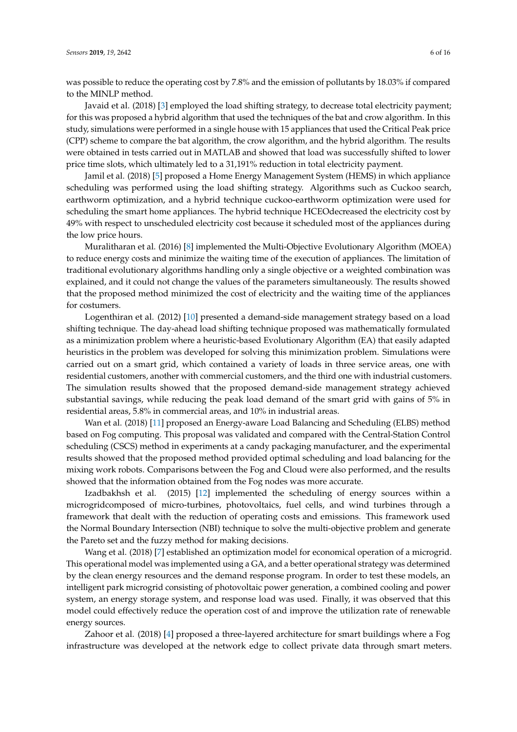was possible to reduce the operating cost by 7.8% and the emission of pollutants by 18.03% if compared to the MINLP method.

Javaid et al. (2018) [\[3\]](#page-14-2) employed the load shifting strategy, to decrease total electricity payment; for this was proposed a hybrid algorithm that used the techniques of the bat and crow algorithm. In this study, simulations were performed in a single house with 15 appliances that used the Critical Peak price (CPP) scheme to compare the bat algorithm, the crow algorithm, and the hybrid algorithm. The results were obtained in tests carried out in MATLAB and showed that load was successfully shifted to lower price time slots, which ultimately led to a 31,191% reduction in total electricity payment.

Jamil et al. (2018) [\[5\]](#page-14-6) proposed a Home Energy Management System (HEMS) in which appliance scheduling was performed using the load shifting strategy. Algorithms such as Cuckoo search, earthworm optimization, and a hybrid technique cuckoo-earthworm optimization were used for scheduling the smart home appliances. The hybrid technique HCEOdecreased the electricity cost by 49% with respect to unscheduled electricity cost because it scheduled most of the appliances during the low price hours.

Muralitharan et al. (2016) [\[8\]](#page-14-8) implemented the Multi-Objective Evolutionary Algorithm (MOEA) to reduce energy costs and minimize the waiting time of the execution of appliances. The limitation of traditional evolutionary algorithms handling only a single objective or a weighted combination was explained, and it could not change the values of the parameters simultaneously. The results showed that the proposed method minimized the cost of electricity and the waiting time of the appliances for costumers.

Logenthiran et al. (2012) [\[10\]](#page-14-10) presented a demand-side management strategy based on a load shifting technique. The day-ahead load shifting technique proposed was mathematically formulated as a minimization problem where a heuristic-based Evolutionary Algorithm (EA) that easily adapted heuristics in the problem was developed for solving this minimization problem. Simulations were carried out on a smart grid, which contained a variety of loads in three service areas, one with residential customers, another with commercial customers, and the third one with industrial customers. The simulation results showed that the proposed demand-side management strategy achieved substantial savings, while reducing the peak load demand of the smart grid with gains of 5% in residential areas, 5.8% in commercial areas, and 10% in industrial areas.

Wan et al. (2018) [\[11\]](#page-14-11) proposed an Energy-aware Load Balancing and Scheduling (ELBS) method based on Fog computing. This proposal was validated and compared with the Central-Station Control scheduling (CSCS) method in experiments at a candy packaging manufacturer, and the experimental results showed that the proposed method provided optimal scheduling and load balancing for the mixing work robots. Comparisons between the Fog and Cloud were also performed, and the results showed that the information obtained from the Fog nodes was more accurate.

Izadbakhsh et al. (2015) [\[12\]](#page-14-3) implemented the scheduling of energy sources within a microgridcomposed of micro-turbines, photovoltaics, fuel cells, and wind turbines through a framework that dealt with the reduction of operating costs and emissions. This framework used the Normal Boundary Intersection (NBI) technique to solve the multi-objective problem and generate the Pareto set and the fuzzy method for making decisions.

Wang et al. (2018) [\[7\]](#page-14-7) established an optimization model for economical operation of a microgrid. This operational model was implemented using a GA, and a better operational strategy was determined by the clean energy resources and the demand response program. In order to test these models, an intelligent park microgrid consisting of photovoltaic power generation, a combined cooling and power system, an energy storage system, and response load was used. Finally, it was observed that this model could effectively reduce the operation cost of and improve the utilization rate of renewable energy sources.

Zahoor et al. (2018) [\[4\]](#page-14-4) proposed a three-layered architecture for smart buildings where a Fog infrastructure was developed at the network edge to collect private data through smart meters.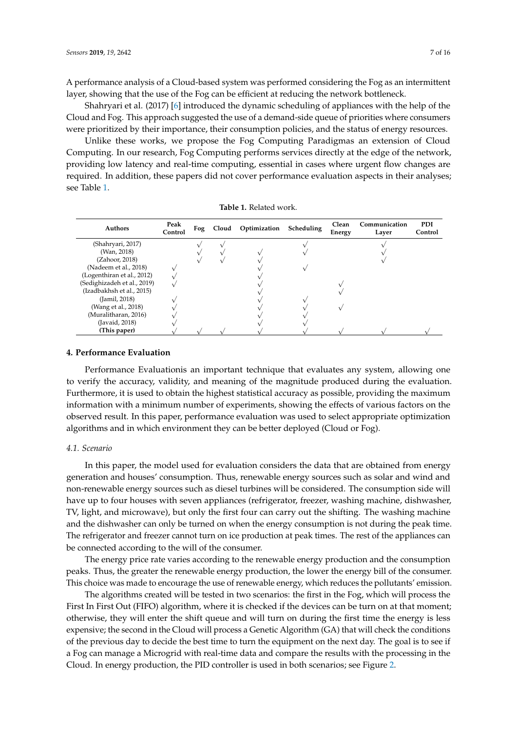A performance analysis of a Cloud-based system was performed considering the Fog as an intermittent layer, showing that the use of the Fog can be efficient at reducing the network bottleneck.

Shahryari et al. (2017) [\[6\]](#page-14-5) introduced the dynamic scheduling of appliances with the help of the Cloud and Fog. This approach suggested the use of a demand-side queue of priorities where consumers were prioritized by their importance, their consumption policies, and the status of energy resources.

Unlike these works, we propose the Fog Computing Paradigmas an extension of Cloud Computing. In our research, Fog Computing performs services directly at the edge of the network, providing low latency and real-time computing, essential in cases where urgent flow changes are required. In addition, these papers did not cover performance evaluation aspects in their analyses; see Table [1.](#page-6-1)

<span id="page-6-1"></span>

| Authors                     | Peak<br>Control | Fog | Cloud Optimization | Scheduling | Clean<br>Energy | Communication<br>Laver | <b>PDI</b><br>Control |
|-----------------------------|-----------------|-----|--------------------|------------|-----------------|------------------------|-----------------------|
| (Shahryari, 2017)           |                 |     |                    |            |                 |                        |                       |
| (Wan, 2018)                 |                 |     |                    |            |                 |                        |                       |
| (Zahoor, 2018)              |                 |     |                    |            |                 |                        |                       |
| (Nadeem et al., 2018)       |                 |     |                    |            |                 |                        |                       |
| (Logenthiran et al., 2012)  |                 |     |                    |            |                 |                        |                       |
| (Sedighizadeh et al., 2019) |                 |     |                    |            |                 |                        |                       |
| (Izadbakhsh et al., 2015)   |                 |     |                    |            |                 |                        |                       |
| (Jamil, 2018)               |                 |     |                    |            |                 |                        |                       |
| (Wang et al., 2018)         |                 |     |                    |            |                 |                        |                       |
| (Muralitharan, 2016)        |                 |     |                    |            |                 |                        |                       |
| (Javaid, 2018)              |                 |     |                    |            |                 |                        |                       |
| (This paper)                |                 |     |                    |            |                 |                        |                       |

**Table 1.** Related work.

#### <span id="page-6-0"></span>**4. Performance Evaluation**

Performance Evaluationis an important technique that evaluates any system, allowing one to verify the accuracy, validity, and meaning of the magnitude produced during the evaluation. Furthermore, it is used to obtain the highest statistical accuracy as possible, providing the maximum information with a minimum number of experiments, showing the effects of various factors on the observed result. In this paper, performance evaluation was used to select appropriate optimization algorithms and in which environment they can be better deployed (Cloud or Fog).

#### *4.1. Scenario*

In this paper, the model used for evaluation considers the data that are obtained from energy generation and houses' consumption. Thus, renewable energy sources such as solar and wind and non-renewable energy sources such as diesel turbines will be considered. The consumption side will have up to four houses with seven appliances (refrigerator, freezer, washing machine, dishwasher, TV, light, and microwave), but only the first four can carry out the shifting. The washing machine and the dishwasher can only be turned on when the energy consumption is not during the peak time. The refrigerator and freezer cannot turn on ice production at peak times. The rest of the appliances can be connected according to the will of the consumer.

The energy price rate varies according to the renewable energy production and the consumption peaks. Thus, the greater the renewable energy production, the lower the energy bill of the consumer. This choice was made to encourage the use of renewable energy, which reduces the pollutants' emission.

The algorithms created will be tested in two scenarios: the first in the Fog, which will process the First In First Out (FIFO) algorithm, where it is checked if the devices can be turn on at that moment; otherwise, they will enter the shift queue and will turn on during the first time the energy is less expensive; the second in the Cloud will process a Genetic Algorithm (GA) that will check the conditions of the previous day to decide the best time to turn the equipment on the next day. The goal is to see if a Fog can manage a Microgrid with real-time data and compare the results with the processing in the Cloud. In energy production, the PID controller is used in both scenarios; see Figure [2.](#page-7-0)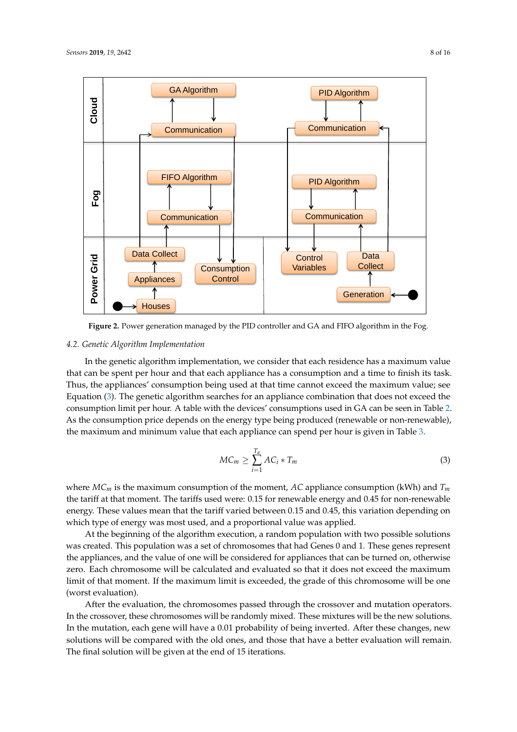<span id="page-7-0"></span>Cloud

**Power Grid Fog Cloud**

Fog

Power Grid



Variables

# **Figure 2.** Power generation managed by the PID controller and GA and FIFO algorithm in the Fog.

**Consumption Control** 

#### *4.2. Genetic Algorithm Implementation*

**Houses** 

Appliances

In the genetic algorithm implementation, we consider that each residence has a maximum value that can be spent per hour and that each appliance has a consumption and a time to finish its task. Thus, the appliances' consumption being used at that time cannot exceed the maximum value; see Equation [\(3\)](#page-7-1). The genetic algorithm searches for an appliance combination that does not exceed the consumption limit per hour. A table with the devices' consumptions used in GA can be seen in Table [2.](#page-8-0) As the consumption price depends on the energy type being produced (renewable or non-renewable), the maximum and minimum value that each appliance can spend per hour is given in Table [3.](#page-8-1)

<span id="page-7-1"></span>
$$
MC_m \ge \sum_{i=1}^{T_a} AC_i * T_m \tag{3}
$$

**Generation** 

**Collect** 

where *MC<sup>m</sup>* is the maximum consumption of the moment, *AC* appliance consumption (kWh) and *T<sup>m</sup>* the tariff at that moment. The tariffs used were: 0.15 for renewable energy and 0.45 for non-renewable energy. These values mean that the tariff varied between 0.15 and 0.45, this variation depending on which type of energy was most used, and a proportional value was applied.

At the beginning of the algorithm execution, a random population with two possible solutions was created. This population was a set of chromosomes that had Genes 0 and 1. These genes represent the appliances, and the value of one will be considered for appliances that can be turned on, otherwise zero. Each chromosome will be calculated and evaluated so that it does not exceed the maximum limit of that moment. If the maximum limit is exceeded, the grade of this chromosome will be one (worst evaluation).

After the evaluation, the chromosomes passed through the crossover and mutation operators. In the crossover, these chromosomes will be randomly mixed. These mixtures will be the new solutions. In the mutation, each gene will have a 0.01 probability of being inverted. After these changes, new solutions will be compared with the old ones, and those that have a better evaluation will remain. The final solution will be given at the end of 15 iterations.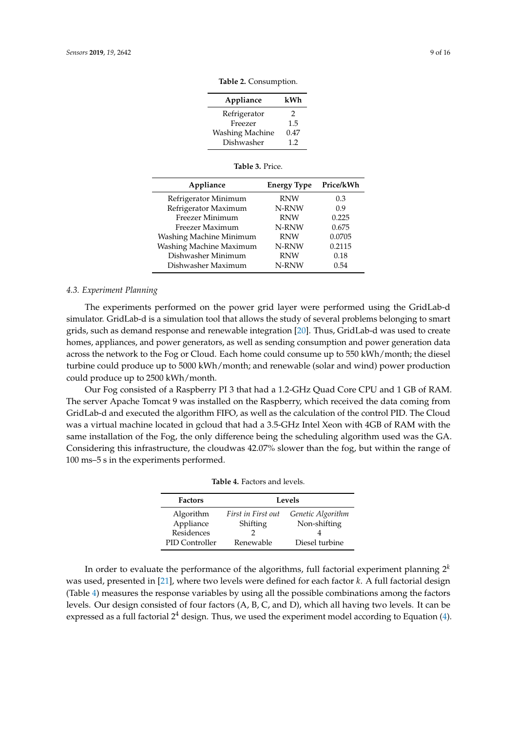| Appliance              | kWh  |
|------------------------|------|
| Refrigerator           | 2    |
| Freezer                | 1.5  |
| <b>Washing Machine</b> | 0.47 |
| Dishwasher             | 12   |

**Table 2.** Consumption.

|  | <b>Table 3. Price.</b> |
|--|------------------------|
|  |                        |

<span id="page-8-1"></span><span id="page-8-0"></span>

| Appliance               | <b>Energy Type</b> | Price/kWh |
|-------------------------|--------------------|-----------|
| Refrigerator Minimum    | <b>RNW</b>         | 0.3       |
| Refrigerator Maximum    | N-RNW              | 0.9       |
| Freezer Minimum         | <b>RNW</b>         | 0.225     |
| Freezer Maximum         | N-RNW              | 0.675     |
| Washing Machine Minimum | <b>RNW</b>         | 0.0705    |
| Washing Machine Maximum | N-RNW              | 0.2115    |
| Dishwasher Minimum      | <b>RNW</b>         | 0.18      |
| Dishwasher Maximum      | N-RNW              | 0.54      |

# *4.3. Experiment Planning*

The experiments performed on the power grid layer were performed using the GridLab-d simulator. GridLab-d is a simulation tool that allows the study of several problems belonging to smart grids, such as demand response and renewable integration [\[20\]](#page-15-6). Thus, GridLab-d was used to create homes, appliances, and power generators, as well as sending consumption and power generation data across the network to the Fog or Cloud. Each home could consume up to 550 kWh/month; the diesel turbine could produce up to 5000 kWh/month; and renewable (solar and wind) power production could produce up to 2500 kWh/month.

<span id="page-8-2"></span>Our Fog consisted of a Raspberry PI 3 that had a 1.2-GHz Quad Core CPU and 1 GB of RAM. The server Apache Tomcat 9 was installed on the Raspberry, which received the data coming from GridLab-d and executed the algorithm FIFO, as well as the calculation of the control PID. The Cloud was a virtual machine located in gcloud that had a 3.5-GHz Intel Xeon with 4GB of RAM with the same installation of the Fog, the only difference being the scheduling algorithm used was the GA. Considering this infrastructure, the cloudwas 42.07% slower than the fog, but within the range of 100 ms–5 s in the experiments performed.

| <b>Factors</b> | Levels                    |                   |  |
|----------------|---------------------------|-------------------|--|
| Algorithm      | <i>First in First out</i> | Genetic Algorithm |  |
| Appliance      | Shifting                  | Non-shifting      |  |
| Residences     |                           |                   |  |
| PID Controller | Renewable                 | Diesel turbine    |  |

**Table 4.** Factors and levels.

In order to evaluate the performance of the algorithms, full factorial experiment planning 2 *k* was used, presented in [\[21\]](#page-15-7), where two levels were defined for each factor *k*. A full factorial design (Table [4\)](#page-8-2) measures the response variables by using all the possible combinations among the factors levels. Our design consisted of four factors (A, B, C, and D), which all having two levels. It can be expressed as a full factorial  $2^4$  design. Thus, we used the experiment model according to Equation [\(4\)](#page-9-0).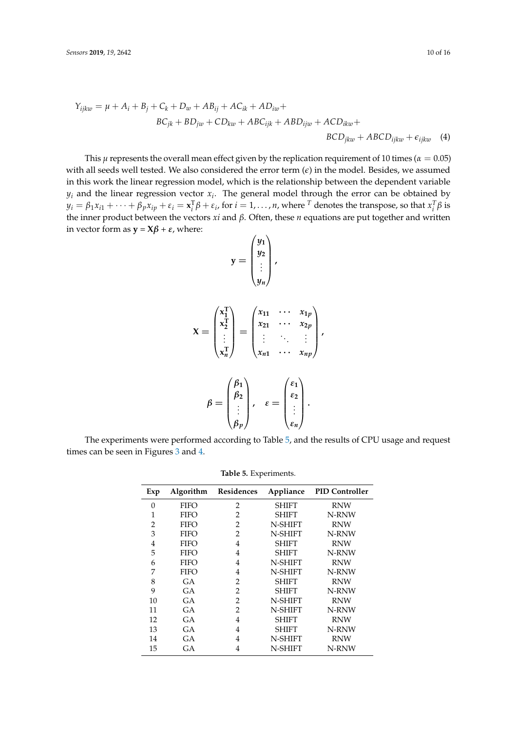$$
Y_{ijkw} = \mu + A_i + B_j + C_k + D_w + AB_{ij} + AC_{ik} + AD_{iw} + BC_{ijk} + ABD_{ijw} + ACD_{ikw} + BC_{jkw} + BD_{jw} + CD_{kw} + ABD_{ijw} + ABD_{ijw} + ACD_{ikw} + BC_{ijkw} + \epsilon_{ijkw}
$$
(4)

This  $\mu$  represents the overall mean effect given by the replication requirement of 10 times ( $\alpha = 0.05$ ) with all seeds well tested. We also considered the error term (*e*) in the model. Besides, we assumed in this work the linear regression model, which is the relationship between the dependent variable  $y_i$  and the linear regression vector  $x_i$ . The general model through the error can be obtained by  $y_i = \beta_1 x_{i1} + \cdots + \beta_p x_{ip} + \varepsilon_i = \mathbf{x}_i^{\mathrm{T}} \beta + \varepsilon_i$ , for  $i = 1, \ldots, n$ , where  $^T$  denotes the transpose, so that  $x_i^{\mathrm{T}} \beta$  is the inner product between the vectors *xi* and *β*. Often, these *n* equations are put together and written in vector form as  $y = X\beta + \varepsilon$ , where:

<span id="page-9-0"></span>
$$
y = \begin{pmatrix} y_1 \\ y_2 \\ \vdots \\ y_n \end{pmatrix},
$$

$$
X = \begin{pmatrix} x_1^T \\ x_2^T \\ \vdots \\ x_n^T \end{pmatrix} = \begin{pmatrix} x_{11} & \cdots & x_{1p} \\ x_{21} & \cdots & x_{2p} \\ \vdots & \ddots & \vdots \\ x_{n1} & \cdots & x_{np} \end{pmatrix},
$$

$$
\beta = \begin{pmatrix} \beta_1 \\ \beta_2 \\ \vdots \\ \beta_p \end{pmatrix}, \quad \varepsilon = \begin{pmatrix} \varepsilon_1 \\ \varepsilon_2 \\ \vdots \\ \varepsilon_n \end{pmatrix}.
$$

<span id="page-9-1"></span>The experiments were performed according to Table [5,](#page-9-1) and the results of CPU usage and request times can be seen in Figures [3](#page-10-0) and [4.](#page-10-1)

|  | Table 5. Experiments. |
|--|-----------------------|
|--|-----------------------|

| Exp            | Algorithm   | <b>Residences</b> | Appliance    | <b>PID Controller</b> |
|----------------|-------------|-------------------|--------------|-----------------------|
| 0              | <b>FIFO</b> | 2                 | <b>SHIFT</b> | <b>RNW</b>            |
| $\mathbf{1}$   | <b>FIFO</b> | 2                 | <b>SHIFT</b> | N-RNW                 |
| $\overline{2}$ | <b>FIFO</b> | $\overline{2}$    | N-SHIFT      | <b>RNW</b>            |
| 3              | <b>FIFO</b> | $\overline{2}$    | N-SHIFT      | N-RNW                 |
| 4              | <b>FIFO</b> | 4                 | <b>SHIFT</b> | <b>RNW</b>            |
| 5              | FIFO        | 4                 | <b>SHIFT</b> | N-RNW                 |
| 6              | FIFO        | 4                 | N-SHIFT      | <b>RNW</b>            |
| 7              | FIFO        | 4                 | N-SHIFT      | N-RNW                 |
| 8              | GA          | $\overline{2}$    | <b>SHIFT</b> | <b>RNW</b>            |
| 9              | GA          | $\overline{2}$    | <b>SHIFT</b> | N-RNW                 |
| 10             | GA          | $\overline{2}$    | N-SHIFT      | <b>RNW</b>            |
| 11             | GA          | 2                 | N-SHIFT      | N-RNW                 |
| 12             | GA          | 4                 | <b>SHIFT</b> | <b>RNW</b>            |
| 13             | GA          | 4                 | <b>SHIFT</b> | N-RNW                 |
| 14             | GA          | 4                 | N-SHIFT      | <b>RNW</b>            |
| 15             | GA          | 4                 | N-SHIFT      | N-RNW                 |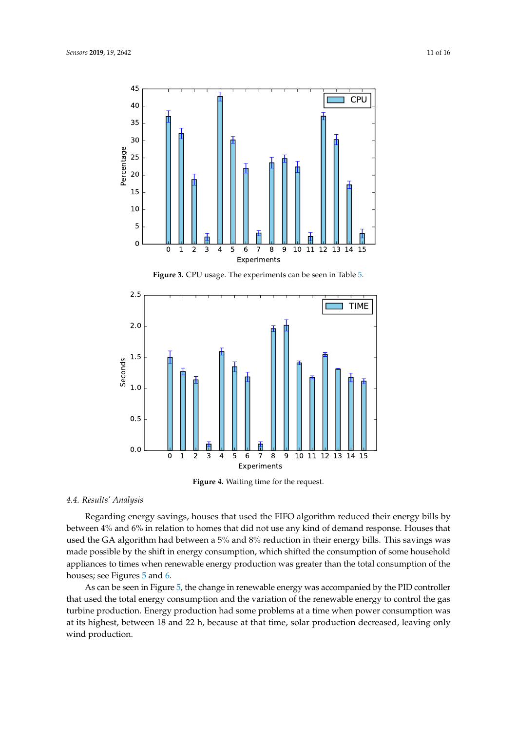<span id="page-10-0"></span>

**Figure 3.** CPU usage. The experiments can be seen in Table [5.](#page-9-1)

<span id="page-10-1"></span>

**Figure 4.** Waiting time for the request.

### *4.4. Results' Analysis*

Regarding energy savings, houses that used the FIFO algorithm reduced their energy bills by between 4% and 6% in relation to homes that did not use any kind of demand response. Houses that used the GA algorithm had between a 5% and 8% reduction in their energy bills. This savings was made possible by the shift in energy consumption, which shifted the consumption of some household appliances to times when renewable energy production was greater than the total consumption of the houses; see Figures [5](#page-11-0) and [6.](#page-11-1)

As can be seen in Figure [5,](#page-11-0) the change in renewable energy was accompanied by the PID controller that used the total energy consumption and the variation of the renewable energy to control the gas turbine production. Energy production had some problems at a time when power consumption was at its highest, between 18 and 22 h, because at that time, solar production decreased, leaving only wind production.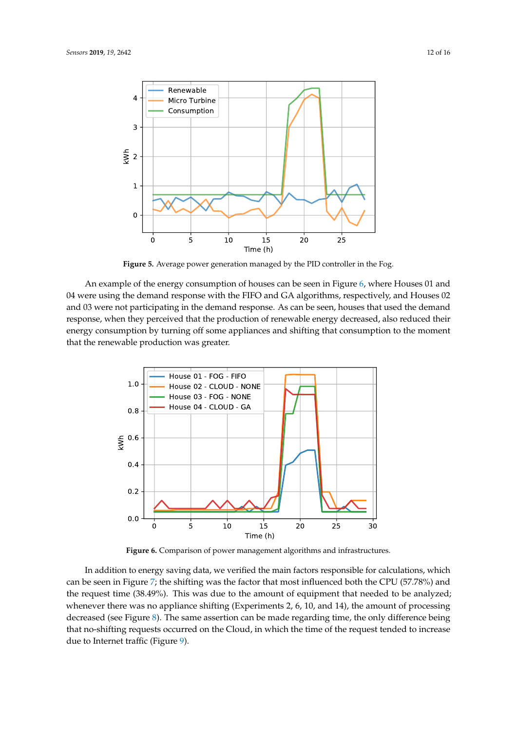<span id="page-11-0"></span>

**Figure 5.** Average power generation managed by the PID controller in the Fog.

An example of the energy consumption of houses can be seen in Figure [6,](#page-11-1) where Houses 01 and 04 were using the demand response with the FIFO and GA algorithms, respectively, and Houses 02 and 03 were not participating in the demand response. As can be seen, houses that used the demand response, when they perceived that the production of renewable energy decreased, also reduced their energy consumption by turning off some appliances and shifting that consumption to the moment that the renewable production was greater.

<span id="page-11-1"></span>

**Figure 6.** Comparison of power management algorithms and infrastructures.

In addition to energy saving data, we verified the main factors responsible for calculations, which can be seen in Figure [7;](#page-12-0) the shifting was the factor that most influenced both the CPU (57.78%) and the request time (38.49%). This was due to the amount of equipment that needed to be analyzed; whenever there was no appliance shifting (Experiments 2, 6, 10, and 14), the amount of processing decreased (see Figure [8\)](#page-12-1). The same assertion can be made regarding time, the only difference being that no-shifting requests occurred on the Cloud, in which the time of the request tended to increase due to Internet traffic (Figure [9\)](#page-13-1).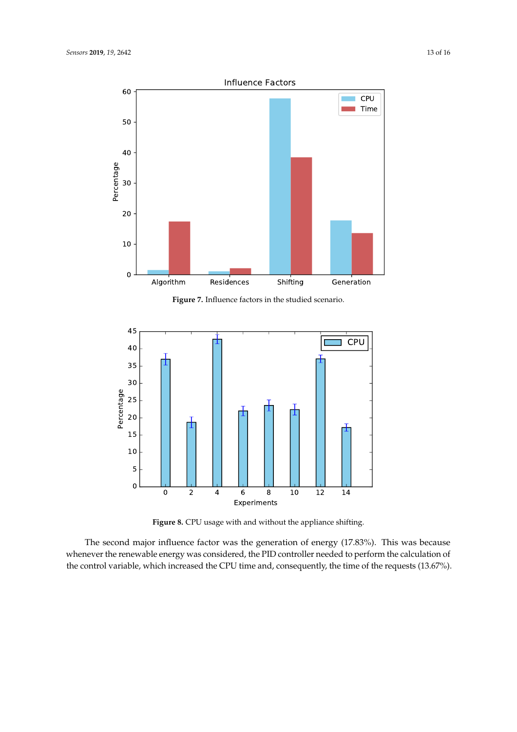<span id="page-12-0"></span>

**Figure 7.** Influence factors in the studied scenario.

<span id="page-12-1"></span>

**Figure 8.** CPU usage with and without the appliance shifting.

The second major influence factor was the generation of energy (17.83%). This was because whenever the renewable energy was considered, the PID controller needed to perform the calculation of the control variable, which increased the CPU time and, consequently, the time of the requests (13.67%).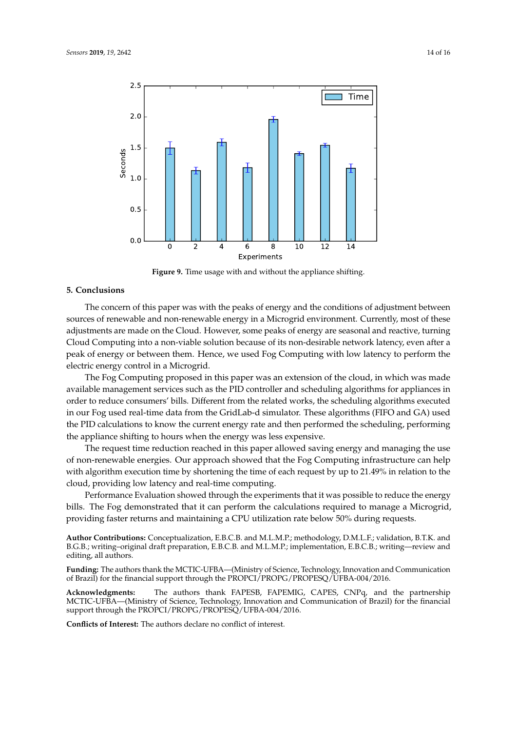<span id="page-13-1"></span>

**Figure 9.** Time usage with and without the appliance shifting.

# <span id="page-13-0"></span>**5. Conclusions**

The concern of this paper was with the peaks of energy and the conditions of adjustment between sources of renewable and non-renewable energy in a Microgrid environment. Currently, most of these adjustments are made on the Cloud. However, some peaks of energy are seasonal and reactive, turning Cloud Computing into a non-viable solution because of its non-desirable network latency, even after a peak of energy or between them. Hence, we used Fog Computing with low latency to perform the electric energy control in a Microgrid.

The Fog Computing proposed in this paper was an extension of the cloud, in which was made available management services such as the PID controller and scheduling algorithms for appliances in order to reduce consumers' bills. Different from the related works, the scheduling algorithms executed in our Fog used real-time data from the GridLab-d simulator. These algorithms (FIFO and GA) used the PID calculations to know the current energy rate and then performed the scheduling, performing the appliance shifting to hours when the energy was less expensive.

The request time reduction reached in this paper allowed saving energy and managing the use of non-renewable energies. Our approach showed that the Fog Computing infrastructure can help with algorithm execution time by shortening the time of each request by up to 21.49% in relation to the cloud, providing low latency and real-time computing.

Performance Evaluation showed through the experiments that it was possible to reduce the energy bills. The Fog demonstrated that it can perform the calculations required to manage a Microgrid, providing faster returns and maintaining a CPU utilization rate below 50% during requests.

**Author Contributions:** Conceptualization, E.B.C.B. and M.L.M.P.; methodology, D.M.L.F.; validation, B.T.K. and B.G.B.; writing–original draft preparation, E.B.C.B. and M.L.M.P.; implementation, E.B.C.B.; writing—review and editing, all authors.

**Funding:** The authors thank the MCTIC-UFBA—(Ministry of Science, Technology, Innovation and Communication of Brazil) for the financial support through the PROPCI/PROPG/PROPESQ/UFBA-004/2016.

**Acknowledgments:** The authors thank FAPESB, FAPEMIG, CAPES, CNPq, and the partnership MCTIC-UFBA—(Ministry of Science, Technology, Innovation and Communication of Brazil) for the financial support through the PROPCI/PROPG/PROPESQ/UFBA-004/2016.

**Conflicts of Interest:** The authors declare no conflict of interest.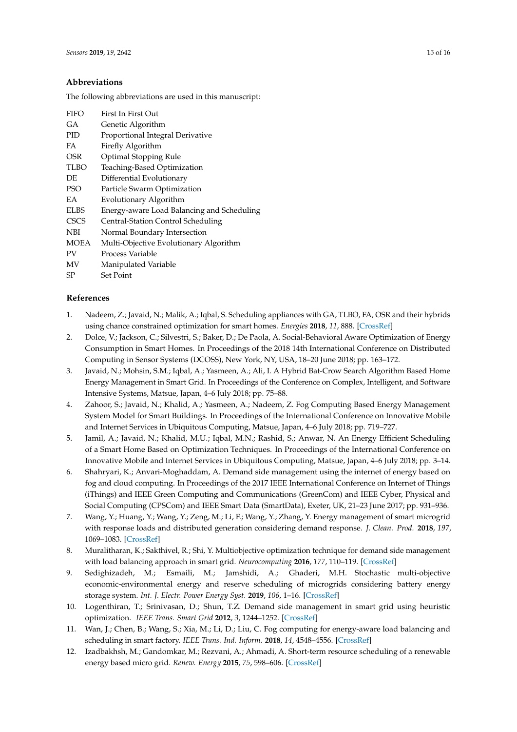# **Abbreviations**

The following abbreviations are used in this manuscript:

| <b>FIFO</b> | First In First Out                         |
|-------------|--------------------------------------------|
| GА          | Genetic Algorithm                          |
| PID         | Proportional Integral Derivative           |
| FA          | Firefly Algorithm                          |
| OSR         | Optimal Stopping Rule                      |
| <b>TLBO</b> | Teaching-Based Optimization                |
| DE          | Differential Evolutionary                  |
| <b>PSO</b>  | Particle Swarm Optimization                |
| EA          | Evolutionary Algorithm                     |
| <b>ELBS</b> | Energy-aware Load Balancing and Scheduling |
| CSCS        | Central-Station Control Scheduling         |
| NBI         | Normal Boundary Intersection               |
| <b>MOEA</b> | Multi-Objective Evolutionary Algorithm     |
| PV          | Process Variable                           |
| MV          | Manipulated Variable                       |
| SP          | Set Point                                  |

# **References**

- <span id="page-14-0"></span>1. Nadeem, Z.; Javaid, N.; Malik, A.; Iqbal, S. Scheduling appliances with GA, TLBO, FA, OSR and their hybrids using chance constrained optimization for smart homes. *Energies* **2018**, *11*, 888. [\[CrossRef\]](http://dx.doi.org/10.3390/en11040888)
- <span id="page-14-1"></span>2. Dolce, V.; Jackson, C.; Silvestri, S.; Baker, D.; De Paola, A. Social-Behavioral Aware Optimization of Energy Consumption in Smart Homes. In Proceedings of the 2018 14th International Conference on Distributed Computing in Sensor Systems (DCOSS), New York, NY, USA, 18–20 June 2018; pp. 163–172.
- <span id="page-14-2"></span>3. Javaid, N.; Mohsin, S.M.; Iqbal, A.; Yasmeen, A.; Ali, I. A Hybrid Bat-Crow Search Algorithm Based Home Energy Management in Smart Grid. In Proceedings of the Conference on Complex, Intelligent, and Software Intensive Systems, Matsue, Japan, 4–6 July 2018; pp. 75–88.
- <span id="page-14-4"></span>4. Zahoor, S.; Javaid, N.; Khalid, A.; Yasmeen, A.; Nadeem, Z. Fog Computing Based Energy Management System Model for Smart Buildings. In Proceedings of the International Conference on Innovative Mobile and Internet Services in Ubiquitous Computing, Matsue, Japan, 4–6 July 2018; pp. 719–727.
- <span id="page-14-6"></span>5. Jamil, A.; Javaid, N.; Khalid, M.U.; Iqbal, M.N.; Rashid, S.; Anwar, N. An Energy Efficient Scheduling of a Smart Home Based on Optimization Techniques. In Proceedings of the International Conference on Innovative Mobile and Internet Services in Ubiquitous Computing, Matsue, Japan, 4–6 July 2018; pp. 3–14.
- <span id="page-14-5"></span>6. Shahryari, K.; Anvari-Moghaddam, A. Demand side management using the internet of energy based on fog and cloud computing. In Proceedings of the 2017 IEEE International Conference on Internet of Things (iThings) and IEEE Green Computing and Communications (GreenCom) and IEEE Cyber, Physical and Social Computing (CPSCom) and IEEE Smart Data (SmartData), Exeter, UK, 21–23 June 2017; pp. 931–936.
- <span id="page-14-7"></span>7. Wang, Y.; Huang, Y.; Wang, Y.; Zeng, M.; Li, F.; Wang, Y.; Zhang, Y. Energy management of smart microgrid with response loads and distributed generation considering demand response. *J. Clean. Prod.* **2018**, *197*, 1069–1083. [\[CrossRef\]](http://dx.doi.org/10.1016/j.jclepro.2018.06.271)
- <span id="page-14-8"></span>8. Muralitharan, K.; Sakthivel, R.; Shi, Y. Multiobjective optimization technique for demand side management with load balancing approach in smart grid. *Neurocomputing* **2016**, *177*, 110–119. [\[CrossRef\]](http://dx.doi.org/10.1016/j.neucom.2015.11.015)
- <span id="page-14-9"></span>9. Sedighizadeh, M.; Esmaili, M.; Jamshidi, A.; Ghaderi, M.H. Stochastic multi-objective economic-environmental energy and reserve scheduling of microgrids considering battery energy storage system. *Int. J. Electr. Power Energy Syst.* **2019**, *106*, 1–16. [\[CrossRef\]](http://dx.doi.org/10.1016/j.ijepes.2018.09.037)
- <span id="page-14-10"></span>10. Logenthiran, T.; Srinivasan, D.; Shun, T.Z. Demand side management in smart grid using heuristic optimization. *IEEE Trans. Smart Grid* **2012**, *3*, 1244–1252. [\[CrossRef\]](http://dx.doi.org/10.1109/TSG.2012.2195686)
- <span id="page-14-11"></span>11. Wan, J.; Chen, B.; Wang, S.; Xia, M.; Li, D.; Liu, C. Fog computing for energy-aware load balancing and scheduling in smart factory. *IEEE Trans. Ind. Inform.* **2018**, *14*, 4548–4556. [\[CrossRef\]](http://dx.doi.org/10.1109/TII.2018.2818932)
- <span id="page-14-3"></span>12. Izadbakhsh, M.; Gandomkar, M.; Rezvani, A.; Ahmadi, A. Short-term resource scheduling of a renewable energy based micro grid. *Renew. Energy* **2015**, *75*, 598–606. [\[CrossRef\]](http://dx.doi.org/10.1016/j.renene.2014.10.043)